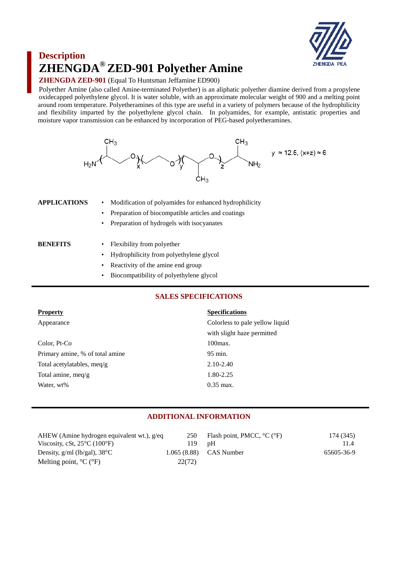

# **Description ZHENGDA® ZED-901 Polyether Amine**

### **ZHENGDA ZED-901** (Equal To Huntsman Jeffamine ED900)

Polyether Amine (also called Amine-terminated Polyether) is an aliphatic polyether diamine derived from a propylene oxidecapped polyethylene glycol. It is water soluble, with an approximate molecular weight of 900 and a melting point around room temperature. Polyetheramines of this type are useful in a variety of polymers because of the hydrophilicity and flexibility imparted by the polyethylene glycol chain. In polyamides, for example, antistatic properties and moisture vapor transmission can be enhanced by incorporation of PEG-based polyetheramines.



**APPLICATIONS** • Modification of polyamides for enhanced hydrophilicity

- Preparation of biocompatible articles and coatings
- Preparation of hydrogels with isocyanates

- **BENEFITS** Flexibility from polyether
	- Hydrophilicity from polyethylene glycol
	- Reactivity of the amine end group
	- Biocompatibility of polyethylene glycol

# **SALES SPECIFICATIONS**

| <b>Property</b>                 | <b>Specifications</b>           |
|---------------------------------|---------------------------------|
| Appearance                      | Colorless to pale yellow liquid |
|                                 | with slight haze permitted      |
| Color, Pt-Co                    | $100$ $max.$                    |
| Primary amine, % of total amine | 95 min.                         |
| Total acetylatables, meq/g      | $2.10 - 2.40$                   |
| Total amine, meq/g              | 1.80-2.25                       |
| Water, wt%                      | $0.35$ max.                     |

# **ADDITIONAL INFORMATION**

| AHEW (Amine hydrogen equivalent wt.), g/eq        | 250    | Flash point, PMCC, $^{\circ}C$ ( $^{\circ}F$ ) | 174 (345)  |
|---------------------------------------------------|--------|------------------------------------------------|------------|
| Viscosity, cSt, $25^{\circ}$ C (100 $^{\circ}$ F) | 119.   | nH                                             | 11.4       |
| Density, $g/ml$ (lb/gal), $38^{\circ}$ C          |        | $1.065(8.88)$ CAS Number                       | 65605-36-9 |
| Melting point, $^{\circ}C$ ( $^{\circ}F$ )        | 22(72) |                                                |            |